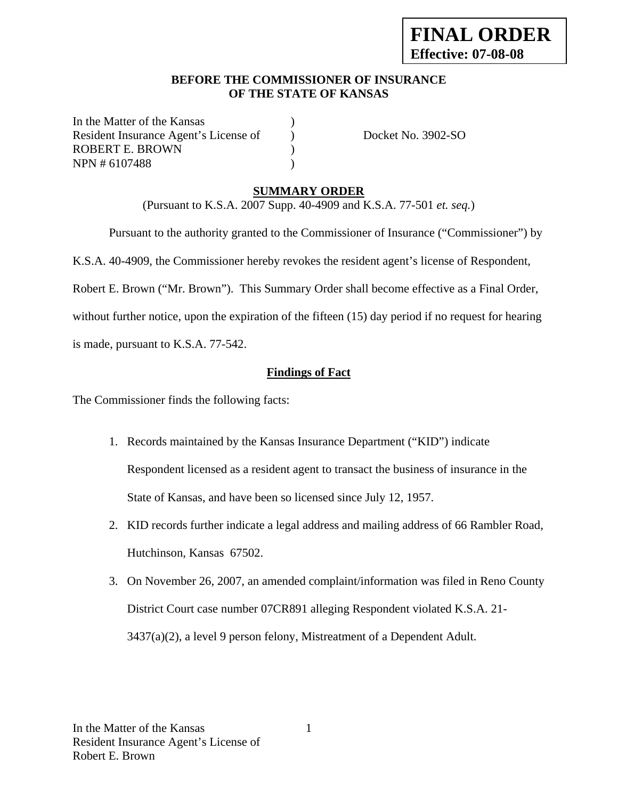#### **BEFORE THE COMMISSIONER OF INSURANCE OF THE STATE OF KANSAS**

In the Matter of the Kansas Resident Insurance Agent's License of Docket No. 3902-SO ROBERT E. BROWN (2008) NPN # 6107488 )

## **SUMMARY ORDER**

(Pursuant to K.S.A. 2007 Supp. 40-4909 and K.S.A. 77-501 *et. seq.*)

Pursuant to the authority granted to the Commissioner of Insurance ("Commissioner") by

K.S.A. 40-4909, the Commissioner hereby revokes the resident agent's license of Respondent,

Robert E. Brown ("Mr. Brown"). This Summary Order shall become effective as a Final Order,

without further notice, upon the expiration of the fifteen (15) day period if no request for hearing

is made, pursuant to K.S.A. 77-542.

## **Findings of Fact**

The Commissioner finds the following facts:

- 1. Records maintained by the Kansas Insurance Department ("KID") indicate Respondent licensed as a resident agent to transact the business of insurance in the State of Kansas, and have been so licensed since July 12, 1957.
- 2. KID records further indicate a legal address and mailing address of 66 Rambler Road, Hutchinson, Kansas 67502.
- 3. On November 26, 2007, an amended complaint/information was filed in Reno County District Court case number 07CR891 alleging Respondent violated K.S.A. 21- 3437(a)(2), a level 9 person felony, Mistreatment of a Dependent Adult.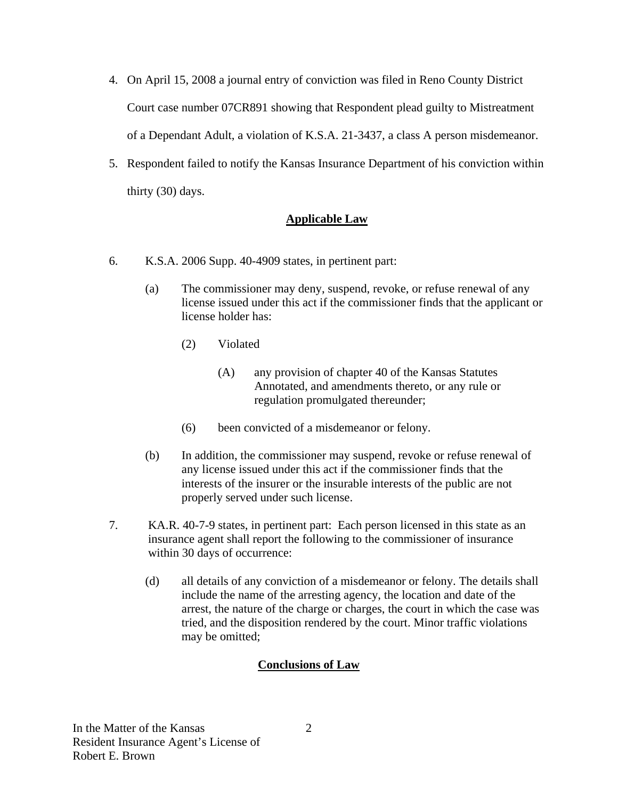- 4. On April 15, 2008 a journal entry of conviction was filed in Reno County District Court case number 07CR891 showing that Respondent plead guilty to Mistreatment of a Dependant Adult, a violation of K.S.A. 21-3437, a class A person misdemeanor.
- 5. Respondent failed to notify the Kansas Insurance Department of his conviction within thirty (30) days.

## **Applicable Law**

- 6. K.S.A. 2006 Supp. 40-4909 states, in pertinent part:
	- (a) The commissioner may deny, suspend, revoke, or refuse renewal of any license issued under this act if the commissioner finds that the applicant or license holder has:
		- (2) Violated
			- (A) any provision of chapter 40 of the Kansas Statutes Annotated, and amendments thereto, or any rule or regulation promulgated thereunder;
		- (6) been convicted of a misdemeanor or felony.
	- (b) In addition, the commissioner may suspend, revoke or refuse renewal of any license issued under this act if the commissioner finds that the interests of the insurer or the insurable interests of the public are not properly served under such license.
- 7. KA.R. 40-7-9 states, in pertinent part: Each person licensed in this state as an insurance agent shall report the following to the commissioner of insurance within 30 days of occurrence:
	- (d) all details of any conviction of a misdemeanor or felony. The details shall include the name of the arresting agency, the location and date of the arrest, the nature of the charge or charges, the court in which the case was tried, and the disposition rendered by the court. Minor traffic violations may be omitted;

## **Conclusions of Law**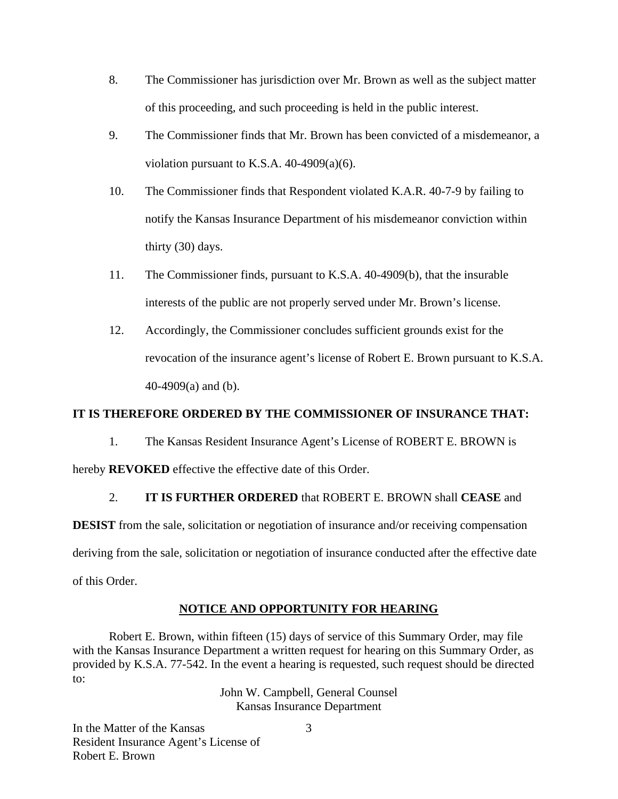- 8. The Commissioner has jurisdiction over Mr. Brown as well as the subject matter of this proceeding, and such proceeding is held in the public interest.
- 9. The Commissioner finds that Mr. Brown has been convicted of a misdemeanor, a violation pursuant to K.S.A.  $40-4909(a)(6)$ .
- 10. The Commissioner finds that Respondent violated K.A.R. 40-7-9 by failing to notify the Kansas Insurance Department of his misdemeanor conviction within thirty (30) days.
- 11. The Commissioner finds, pursuant to K.S.A. 40-4909(b), that the insurable interests of the public are not properly served under Mr. Brown's license.
- 12. Accordingly, the Commissioner concludes sufficient grounds exist for the revocation of the insurance agent's license of Robert E. Brown pursuant to K.S.A. 40-4909(a) and (b).

## **IT IS THEREFORE ORDERED BY THE COMMISSIONER OF INSURANCE THAT:**

1. The Kansas Resident Insurance Agent's License of ROBERT E. BROWN is

hereby **REVOKED** effective the effective date of this Order.

## 2. **IT IS FURTHER ORDERED** that ROBERT E. BROWN shall **CEASE** and

**DESIST** from the sale, solicitation or negotiation of insurance and/or receiving compensation deriving from the sale, solicitation or negotiation of insurance conducted after the effective date of this Order.

## **NOTICE AND OPPORTUNITY FOR HEARING**

Robert E. Brown, within fifteen (15) days of service of this Summary Order, may file with the Kansas Insurance Department a written request for hearing on this Summary Order, as provided by K.S.A. 77-542. In the event a hearing is requested, such request should be directed to:

> John W. Campbell, General Counsel Kansas Insurance Department

In the Matter of the Kansas Resident Insurance Agent's License of Robert E. Brown

3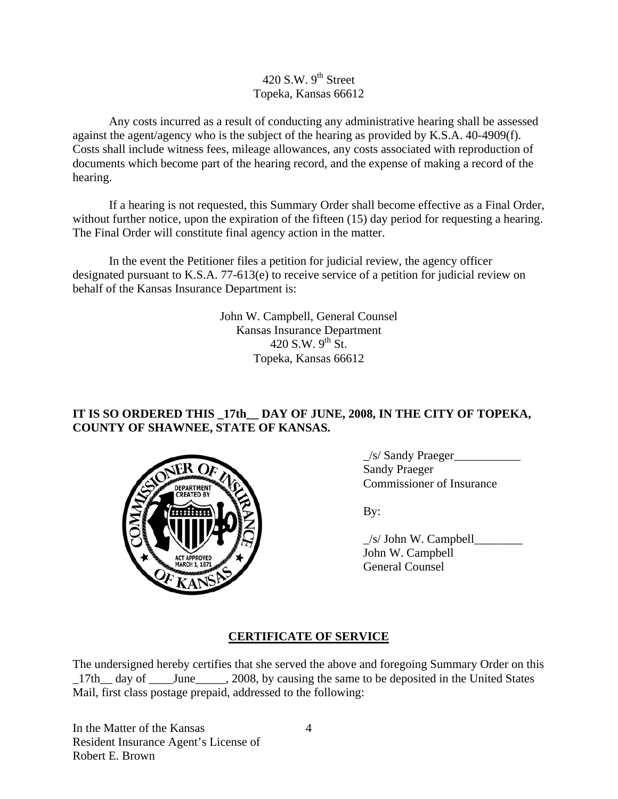# 420 S.W.  $9<sup>th</sup>$  Street Topeka, Kansas 66612

Any costs incurred as a result of conducting any administrative hearing shall be assessed against the agent/agency who is the subject of the hearing as provided by K.S.A. 40-4909(f). Costs shall include witness fees, mileage allowances, any costs associated with reproduction of documents which become part of the hearing record, and the expense of making a record of the hearing.

If a hearing is not requested, this Summary Order shall become effective as a Final Order, without further notice, upon the expiration of the fifteen (15) day period for requesting a hearing. The Final Order will constitute final agency action in the matter.

In the event the Petitioner files a petition for judicial review, the agency officer designated pursuant to K.S.A. 77-613(e) to receive service of a petition for judicial review on behalf of the Kansas Insurance Department is:

> John W. Campbell, General Counsel Kansas Insurance Department  $420$  S.W.  $9^{th}$  St. Topeka, Kansas 66612

# **IT IS SO ORDERED THIS \_17th\_\_ DAY OF JUNE, 2008, IN THE CITY OF TOPEKA, COUNTY OF SHAWNEE, STATE OF KANSAS.**



\_/s/ Sandy Praeger\_\_\_\_\_\_\_\_\_\_\_ Sandy Praeger Commissioner of Insurance

| $\mathbb{E}[\mathbf{Y}(\mathbf{W},\mathbf{Y})]$ | $/s$ John W. Campbell |
|-------------------------------------------------|-----------------------|
| ACT APPROVED<br>MARCH 1, 1871                   | John W. Campbell      |
|                                                 | General Counsel       |

# **CERTIFICATE OF SERVICE**

The undersigned hereby certifies that she served the above and foregoing Summary Order on this 17th day of June . 2008, by causing the same to be deposited in the United States Mail, first class postage prepaid, addressed to the following:

In the Matter of the Kansas Resident Insurance Agent's License of Robert E. Brown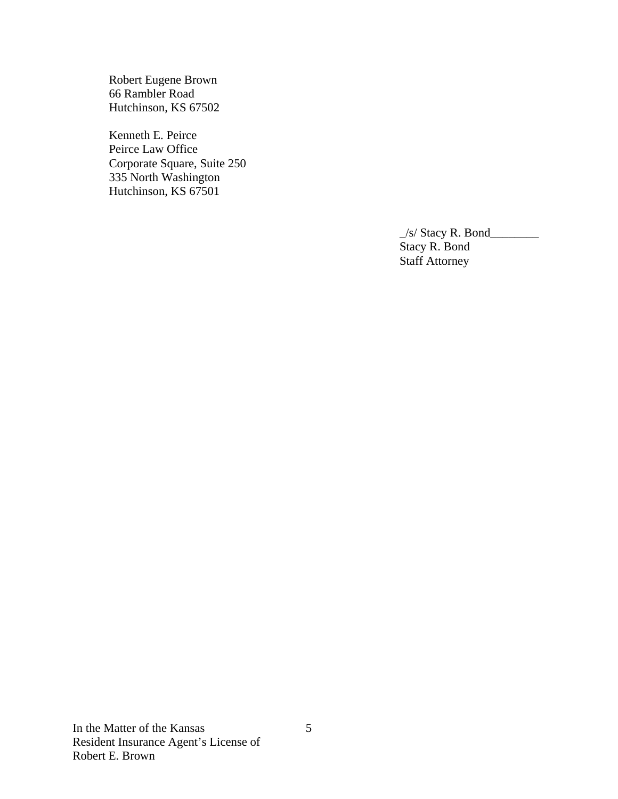Robert Eugene Brown 66 Rambler Road Hutchinson, KS 67502

Kenneth E. Peirce Peirce Law Office Corporate Square, Suite 250 335 North Washington Hutchinson, KS 67501

> $\angle$ s/ Stacy R. Bond $\angle$  Stacy R. Bond Staff Attorney